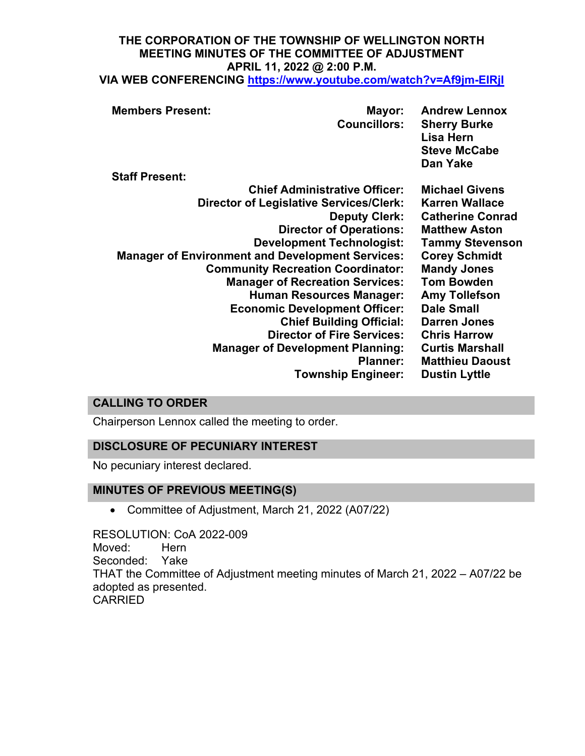# **THE CORPORATION OF THE TOWNSHIP OF WELLINGTON NORTH MEETING MINUTES OF THE COMMITTEE OF ADJUSTMENT APRIL 11, 2022 @ 2:00 P.M.**

**VIA WEB CONFERENCING <https://www.youtube.com/watch?v=Af9jm-EIRjI>**

| <b>Staff Present:</b><br><b>Chief Administrative Officer:</b><br><b>Michael Givens</b><br><b>Director of Legislative Services/Clerk:</b><br><b>Karren Wallace</b><br><b>Catherine Conrad</b><br><b>Deputy Clerk:</b><br><b>Director of Operations:</b><br><b>Matthew Aston</b><br><b>Development Technologist:</b><br><b>Tammy Stevenson</b><br><b>Manager of Environment and Development Services:</b><br><b>Corey Schmidt</b><br><b>Community Recreation Coordinator:</b><br><b>Mandy Jones</b><br><b>Tom Bowden</b><br><b>Manager of Recreation Services:</b><br><b>Human Resources Manager:</b><br><b>Amy Tollefson</b><br><b>Dale Small</b><br><b>Economic Development Officer:</b><br><b>Chief Building Official:</b><br><b>Darren Jones</b><br><b>Director of Fire Services:</b><br><b>Chris Harrow</b><br><b>Curtis Marshall</b><br><b>Manager of Development Planning:</b><br><b>Planner:</b><br><b>Matthieu Daoust</b> | <b>Members Present:</b> | Mayor:<br><b>Councillors:</b> | <b>Andrew Lennox</b><br><b>Sherry Burke</b><br>Lisa Hern<br><b>Steve McCabe</b><br>Dan Yake |
|----------------------------------------------------------------------------------------------------------------------------------------------------------------------------------------------------------------------------------------------------------------------------------------------------------------------------------------------------------------------------------------------------------------------------------------------------------------------------------------------------------------------------------------------------------------------------------------------------------------------------------------------------------------------------------------------------------------------------------------------------------------------------------------------------------------------------------------------------------------------------------------------------------------------------------|-------------------------|-------------------------------|---------------------------------------------------------------------------------------------|
|                                                                                                                                                                                                                                                                                                                                                                                                                                                                                                                                                                                                                                                                                                                                                                                                                                                                                                                                  |                         |                               |                                                                                             |
|                                                                                                                                                                                                                                                                                                                                                                                                                                                                                                                                                                                                                                                                                                                                                                                                                                                                                                                                  |                         | <b>Township Engineer:</b>     | <b>Dustin Lyttle</b>                                                                        |

### **CALLING TO ORDER**

Chairperson Lennox called the meeting to order.

### **DISCLOSURE OF PECUNIARY INTEREST**

No pecuniary interest declared.

### **MINUTES OF PREVIOUS MEETING(S)**

• Committee of Adjustment, March 21, 2022 (A07/22)

RESOLUTION: CoA 2022-009 Moved: Hern Seconded: Yake THAT the Committee of Adjustment meeting minutes of March 21, 2022 – A07/22 be adopted as presented. CARRIED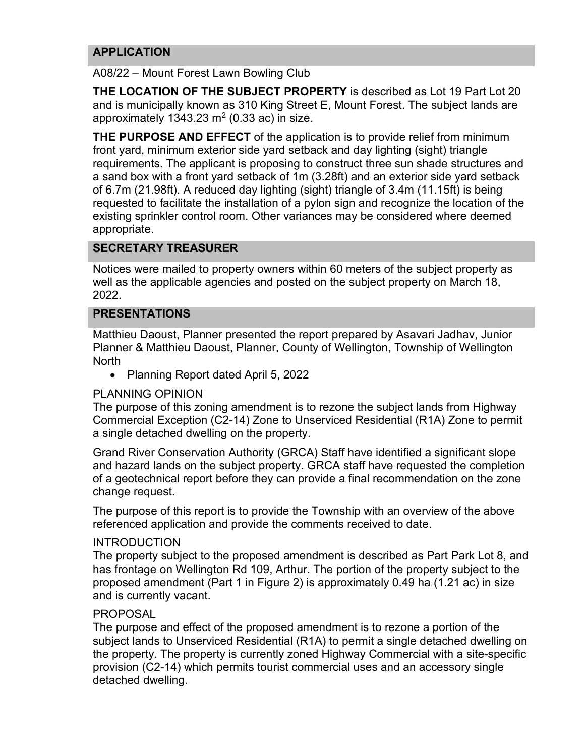### **APPLICATION**

A08/22 – Mount Forest Lawn Bowling Club

**THE LOCATION OF THE SUBJECT PROPERTY** is described as Lot 19 Part Lot 20 and is municipally known as 310 King Street E, Mount Forest. The subject lands are approximately 1343.23  $m<sup>2</sup>$  (0.33 ac) in size.

**THE PURPOSE AND EFFECT** of the application is to provide relief from minimum front yard, minimum exterior side yard setback and day lighting (sight) triangle requirements. The applicant is proposing to construct three sun shade structures and a sand box with a front yard setback of 1m (3.28ft) and an exterior side yard setback of 6.7m (21.98ft). A reduced day lighting (sight) triangle of 3.4m (11.15ft) is being requested to facilitate the installation of a pylon sign and recognize the location of the existing sprinkler control room. Other variances may be considered where deemed appropriate.

### **SECRETARY TREASURER**

Notices were mailed to property owners within 60 meters of the subject property as well as the applicable agencies and posted on the subject property on March 18, 2022.

### **PRESENTATIONS**

Matthieu Daoust, Planner presented the report prepared by Asavari Jadhav, Junior Planner & Matthieu Daoust, Planner, County of Wellington, Township of Wellington **North** 

• Planning Report dated April 5, 2022

### PLANNING OPINION

The purpose of this zoning amendment is to rezone the subject lands from Highway Commercial Exception (C2-14) Zone to Unserviced Residential (R1A) Zone to permit a single detached dwelling on the property.

Grand River Conservation Authority (GRCA) Staff have identified a significant slope and hazard lands on the subject property. GRCA staff have requested the completion of a geotechnical report before they can provide a final recommendation on the zone change request.

The purpose of this report is to provide the Township with an overview of the above referenced application and provide the comments received to date.

### INTRODUCTION

The property subject to the proposed amendment is described as Part Park Lot 8, and has frontage on Wellington Rd 109, Arthur. The portion of the property subject to the proposed amendment (Part 1 in Figure 2) is approximately 0.49 ha (1.21 ac) in size and is currently vacant.

### PROPOSAL

The purpose and effect of the proposed amendment is to rezone a portion of the subject lands to Unserviced Residential (R1A) to permit a single detached dwelling on the property. The property is currently zoned Highway Commercial with a site-specific provision (C2-14) which permits tourist commercial uses and an accessory single detached dwelling.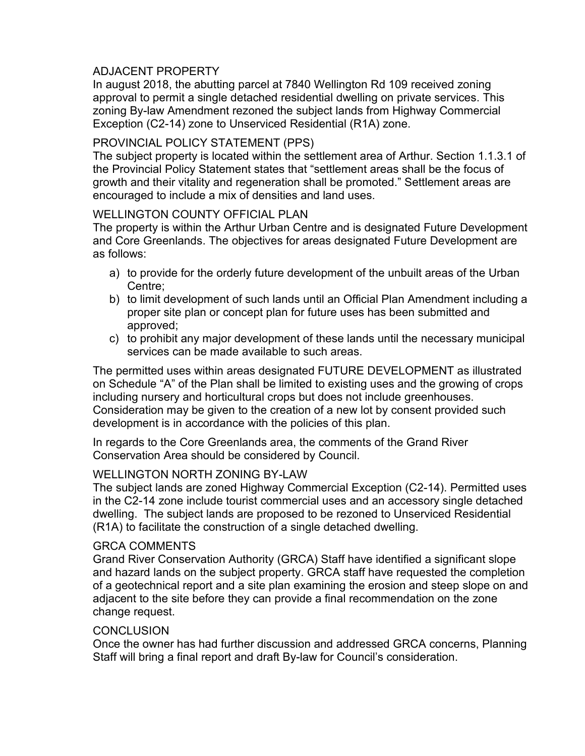### ADJACENT PROPERTY

In august 2018, the abutting parcel at 7840 Wellington Rd 109 received zoning approval to permit a single detached residential dwelling on private services. This zoning By-law Amendment rezoned the subject lands from Highway Commercial Exception (C2-14) zone to Unserviced Residential (R1A) zone.

### PROVINCIAL POLICY STATEMENT (PPS)

The subject property is located within the settlement area of Arthur. Section 1.1.3.1 of the Provincial Policy Statement states that "settlement areas shall be the focus of growth and their vitality and regeneration shall be promoted." Settlement areas are encouraged to include a mix of densities and land uses.

### WELLINGTON COUNTY OFFICIAL PLAN

The property is within the Arthur Urban Centre and is designated Future Development and Core Greenlands. The objectives for areas designated Future Development are as follows:

- a) to provide for the orderly future development of the unbuilt areas of the Urban Centre;
- b) to limit development of such lands until an Official Plan Amendment including a proper site plan or concept plan for future uses has been submitted and approved;
- c) to prohibit any major development of these lands until the necessary municipal services can be made available to such areas.

The permitted uses within areas designated FUTURE DEVELOPMENT as illustrated on Schedule "A" of the Plan shall be limited to existing uses and the growing of crops including nursery and horticultural crops but does not include greenhouses. Consideration may be given to the creation of a new lot by consent provided such development is in accordance with the policies of this plan.

In regards to the Core Greenlands area, the comments of the Grand River Conservation Area should be considered by Council.

### WELLINGTON NORTH ZONING BY-LAW

The subject lands are zoned Highway Commercial Exception (C2-14). Permitted uses in the C2-14 zone include tourist commercial uses and an accessory single detached dwelling. The subject lands are proposed to be rezoned to Unserviced Residential (R1A) to facilitate the construction of a single detached dwelling.

#### GRCA COMMENTS

Grand River Conservation Authority (GRCA) Staff have identified a significant slope and hazard lands on the subject property. GRCA staff have requested the completion of a geotechnical report and a site plan examining the erosion and steep slope on and adjacent to the site before they can provide a final recommendation on the zone change request.

### **CONCLUSION**

Once the owner has had further discussion and addressed GRCA concerns, Planning Staff will bring a final report and draft By-law for Council's consideration.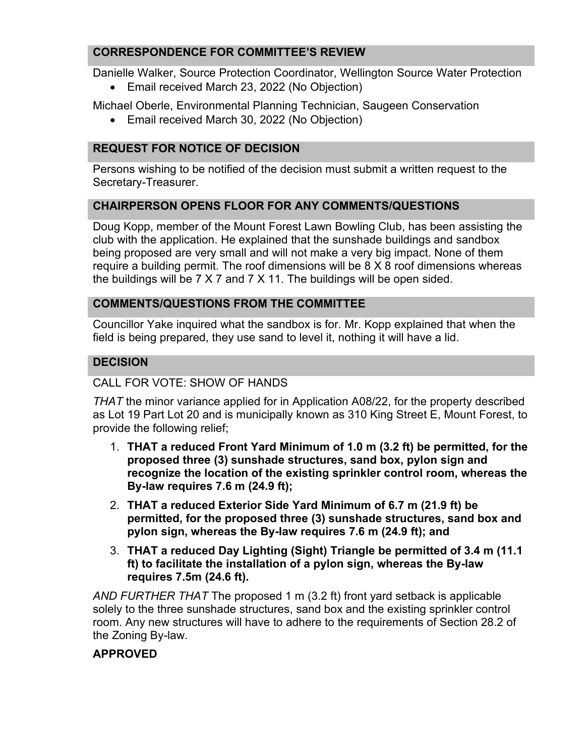### **CORRESPONDENCE FOR COMMITTEE'S REVIEW**

Danielle Walker, Source Protection Coordinator, Wellington Source Water Protection

• Email received March 23, 2022 (No Objection)

Michael Oberle, Environmental Planning Technician, Saugeen Conservation

• Email received March 30, 2022 (No Objection)

## **REQUEST FOR NOTICE OF DECISION**

Persons wishing to be notified of the decision must submit a written request to the Secretary-Treasurer.

### **CHAIRPERSON OPENS FLOOR FOR ANY COMMENTS/QUESTIONS**

Doug Kopp, member of the Mount Forest Lawn Bowling Club, has been assisting the club with the application. He explained that the sunshade buildings and sandbox being proposed are very small and will not make a very big impact. None of them require a building permit. The roof dimensions will be 8 X 8 roof dimensions whereas the buildings will be 7 X 7 and 7 X 11. The buildings will be open sided.

### **COMMENTS/QUESTIONS FROM THE COMMITTEE**

Councillor Yake inquired what the sandbox is for. Mr. Kopp explained that when the field is being prepared, they use sand to level it, nothing it will have a lid.

### **DECISION**

### CALL FOR VOTE: SHOW OF HANDS

*THAT* the minor variance applied for in Application A08/22, for the property described as Lot 19 Part Lot 20 and is municipally known as 310 King Street E, Mount Forest, to provide the following relief;

- 1. **THAT a reduced Front Yard Minimum of 1.0 m (3.2 ft) be permitted, for the proposed three (3) sunshade structures, sand box, pylon sign and recognize the location of the existing sprinkler control room, whereas the By-law requires 7.6 m (24.9 ft);**
- 2. **THAT a reduced Exterior Side Yard Minimum of 6.7 m (21.9 ft) be permitted, for the proposed three (3) sunshade structures, sand box and pylon sign, whereas the By-law requires 7.6 m (24.9 ft); and**
- 3. **THAT a reduced Day Lighting (Sight) Triangle be permitted of 3.4 m (11.1 ft) to facilitate the installation of a pylon sign, whereas the By-law requires 7.5m (24.6 ft).**

*AND FURTHER THAT* The proposed 1 m (3.2 ft) front yard setback is applicable solely to the three sunshade structures, sand box and the existing sprinkler control room. Any new structures will have to adhere to the requirements of Section 28.2 of the Zoning By-law.

### **APPROVED**